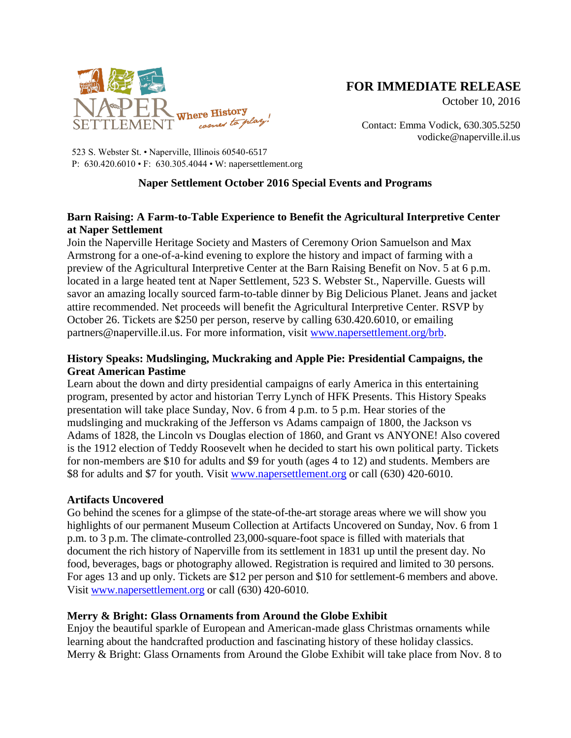

# **FOR IMMEDIATE RELEASE**

October 10, 2016

Contact: Emma Vodick, 630.305.5250 vodicke@naperville.il.us

523 S. Webster St. • Naperville, Illinois 60540-6517 P: 630.420.6010 • F: 630.305.4044 • W: napersettlement.org

## **Naper Settlement October 2016 Special Events and Programs**

# **Barn Raising: A Farm-to-Table Experience to Benefit the Agricultural Interpretive Center at Naper Settlement**

Join the Naperville Heritage Society and Masters of Ceremony Orion Samuelson and Max Armstrong for a one-of-a-kind evening to explore the history and impact of farming with a preview of the Agricultural Interpretive Center at the Barn Raising Benefit on Nov. 5 at 6 p.m. located in a large heated tent at Naper Settlement, 523 S. Webster St., Naperville. Guests will savor an amazing locally sourced farm-to-table dinner by Big Delicious Planet. Jeans and jacket attire recommended. Net proceeds will benefit the Agricultural Interpretive Center. RSVP by October 26. Tickets are \$250 per person, reserve by calling 630.420.6010, or emailing partners@naperville.il.us. For more information, visit [www.napersettlement.org/brb.](http://www.napersettlement.org/brb)

## **History Speaks: Mudslinging, Muckraking and Apple Pie: Presidential Campaigns, the Great American Pastime**

Learn about the down and dirty presidential campaigns of early America in this entertaining program, presented by actor and historian Terry Lynch of HFK Presents. This History Speaks presentation will take place Sunday, Nov. 6 from 4 p.m. to 5 p.m. Hear stories of the mudslinging and muckraking of the Jefferson vs Adams campaign of 1800, the Jackson vs Adams of 1828, the Lincoln vs Douglas election of 1860, and Grant vs ANYONE! Also covered is the 1912 election of Teddy Roosevelt when he decided to start his own political party. Tickets for non-members are \$10 for adults and \$9 for youth (ages 4 to 12) and students. Members are \$8 for adults and \$7 for youth. Visit [www.napersettlement.org](http://www.napersettlement.org/) or call (630) 420-6010.

## **Artifacts Uncovered**

Go behind the scenes for a glimpse of the state-of-the-art storage areas where we will show you highlights of our permanent Museum Collection at Artifacts Uncovered on Sunday, Nov. 6 from 1 p.m. to 3 p.m. The climate-controlled 23,000-square-foot space is filled with materials that document the rich history of Naperville from its settlement in 1831 up until the present day. No food, beverages, bags or photography allowed. Registration is required and limited to 30 persons. For ages 13 and up only. Tickets are \$12 per person and \$10 for settlement-6 members and above. Visit [www.napersettlement.org](http://www.napersettlement.org/) or call (630) 420-6010.

## **Merry & Bright: Glass Ornaments from Around the Globe Exhibit**

Enjoy the beautiful sparkle of European and American-made glass Christmas ornaments while learning about the handcrafted production and fascinating history of these holiday classics. Merry & Bright: Glass Ornaments from Around the Globe Exhibit will take place from Nov. 8 to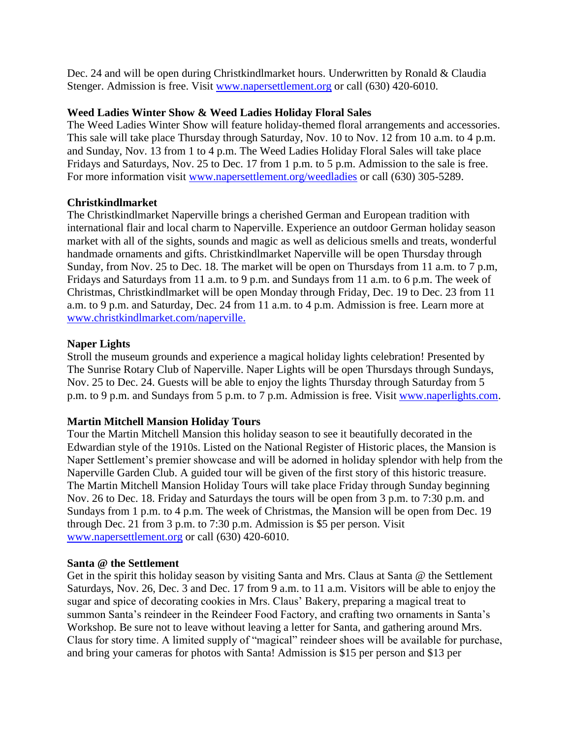Dec. 24 and will be open during Christkindlmarket hours. Underwritten by Ronald & Claudia Stenger. Admission is free. Visit [www.napersettlement.org](http://www.napersettlement.org/) or call (630) 420-6010.

#### **Weed Ladies Winter Show & Weed Ladies Holiday Floral Sales**

The Weed Ladies Winter Show will feature holiday-themed floral arrangements and accessories. This sale will take place Thursday through Saturday, Nov. 10 to Nov. 12 from 10 a.m. to 4 p.m. and Sunday, Nov. 13 from 1 to 4 p.m. The Weed Ladies Holiday Floral Sales will take place Fridays and Saturdays, Nov. 25 to Dec. 17 from 1 p.m. to 5 p.m. Admission to the sale is free. For more information visit [www.napersettlement.org/weedladies](http://www.napersettlement.org/weedladies) or call (630) 305-5289.

#### **Christkindlmarket**

The Christkindlmarket Naperville brings a cherished German and European tradition with international flair and local charm to Naperville. Experience an outdoor German holiday season market with all of the sights, sounds and magic as well as delicious smells and treats, wonderful handmade ornaments and gifts. Christkindlmarket Naperville will be open Thursday through Sunday, from Nov. 25 to Dec. 18. The market will be open on Thursdays from 11 a.m. to 7 p.m, Fridays and Saturdays from 11 a.m. to 9 p.m. and Sundays from 11 a.m. to 6 p.m. The week of Christmas, Christkindlmarket will be open Monday through Friday, Dec. 19 to Dec. 23 from 11 a.m. to 9 p.m. and Saturday, Dec. 24 from 11 a.m. to 4 p.m. Admission is free. Learn more at [www.christkindlmarket.com/naperville.](http://www.christkindlmarket.com/naperville)

#### **Naper Lights**

Stroll the museum grounds and experience a magical holiday lights celebration! Presented by The Sunrise Rotary Club of Naperville. Naper Lights will be open Thursdays through Sundays, Nov. 25 to Dec. 24. Guests will be able to enjoy the lights Thursday through Saturday from 5 p.m. to 9 p.m. and Sundays from 5 p.m. to 7 p.m. Admission is free. Visit [www.naperlights.com.](www.naperlights.com)

## **Martin Mitchell Mansion Holiday Tours**

Tour the Martin Mitchell Mansion this holiday season to see it beautifully decorated in the Edwardian style of the 1910s. Listed on the National Register of Historic places, the Mansion is Naper Settlement's premier showcase and will be adorned in holiday splendor with help from the Naperville Garden Club. A guided tour will be given of the first story of this historic treasure. The Martin Mitchell Mansion Holiday Tours will take place Friday through Sunday beginning Nov. 26 to Dec. 18. Friday and Saturdays the tours will be open from 3 p.m. to 7:30 p.m. and Sundays from 1 p.m. to 4 p.m. The week of Christmas, the Mansion will be open from Dec. 19 through Dec. 21 from 3 p.m. to 7:30 p.m. Admission is \$5 per person. Visit [www.napersettlement.org](http://www.napersettlement.org/) or call (630) 420-6010.

#### **Santa @ the Settlement**

Get in the spirit this holiday season by visiting Santa and Mrs. Claus at Santa @ the Settlement Saturdays, Nov. 26, Dec. 3 and Dec. 17 from 9 a.m. to 11 a.m. Visitors will be able to enjoy the sugar and spice of decorating cookies in Mrs. Claus' Bakery, preparing a magical treat to summon Santa's reindeer in the Reindeer Food Factory, and crafting two ornaments in Santa's Workshop. Be sure not to leave without leaving a letter for Santa, and gathering around Mrs. Claus for story time. A limited supply of "magical" reindeer shoes will be available for purchase, and bring your cameras for photos with Santa! Admission is \$15 per person and \$13 per